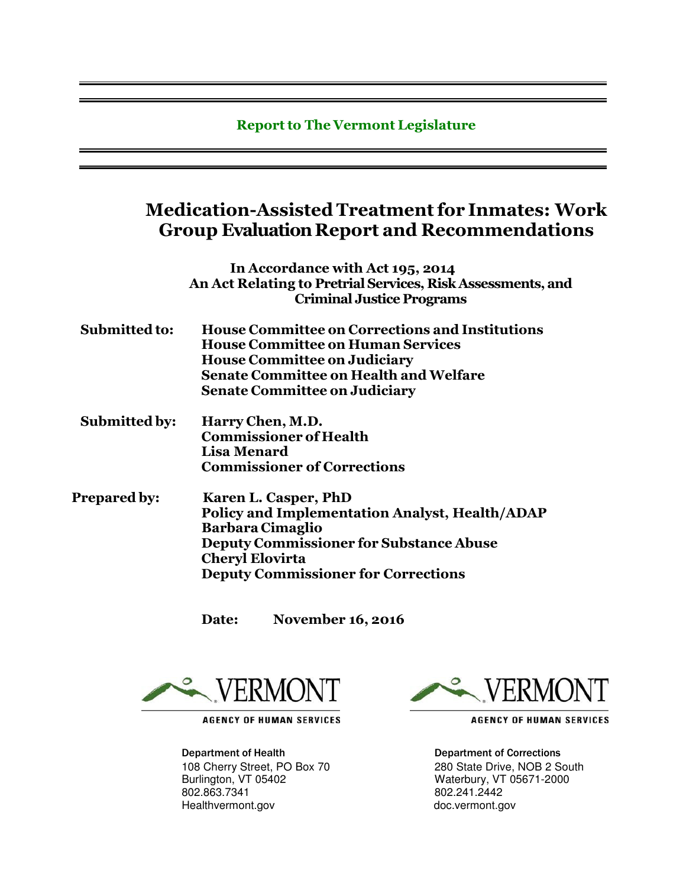### **Report to The Vermont Legislature**

## **Medication-Assisted Treatment for Inmates: Work Group Evaluation Report and Recommendations**

**In Accordance with Act 195, 2014 An Act Relating to Pretrial Services, Risk Assessments, and Criminal Justice Programs**

- **Submitted to: House Committee on Corrections and Institutions House Committee on Human Services House Committee on Judiciary Senate Committee on Health and Welfare Senate Committee on Judiciary**
- **Submitted by: Harry Chen, M.D. Commissioner of Health Lisa Menard Commissioner of Corrections**
- **Prepared by: Karen L. Casper, PhD Policy and Implementation Analyst, Health/ADAP Barbara Cimaglio Deputy Commissioner for Substance Abuse Cheryl Elovirta Deputy Commissioner for Corrections**

**Date: November 16, 2016**



**AGENCY OF HUMAN SERVICES** 

Department of Health Department of Corrections 802.863.7341 802.241.2442 Healthvermont.gov doc.vermont.gov



**AGENCY OF HUMAN SERVICES** 

108 Cherry Street, PO Box 70 280 State Drive, NOB 2 South<br>
Burlington, VT 05402 280 2000 Waterbury, VT 05671-2000 Waterbury, VT 05671-2000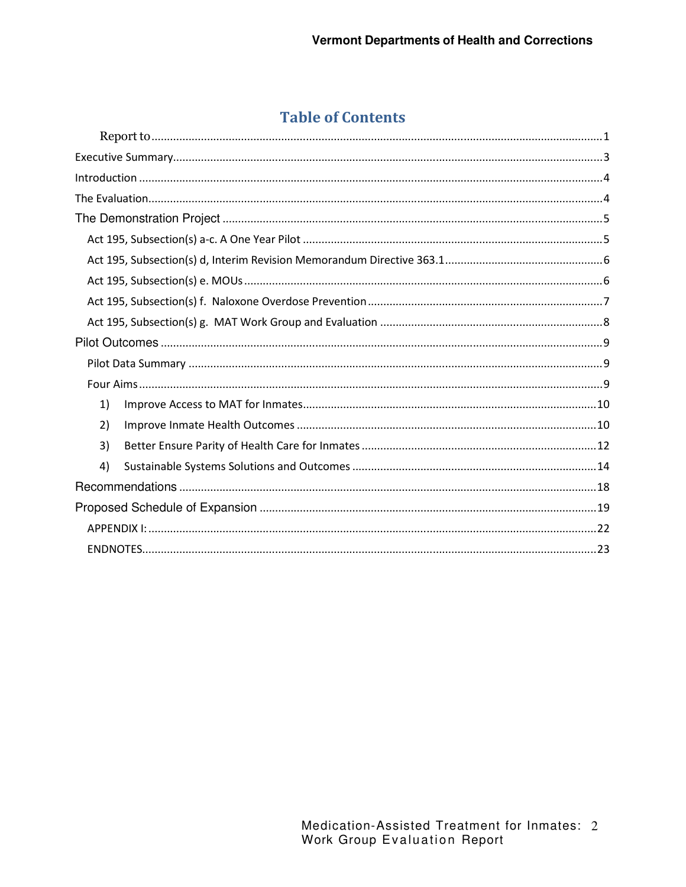## **Table of Contents**

| 1) |  |
|----|--|
| 2) |  |
| 3) |  |
| 4) |  |
|    |  |
|    |  |
|    |  |
|    |  |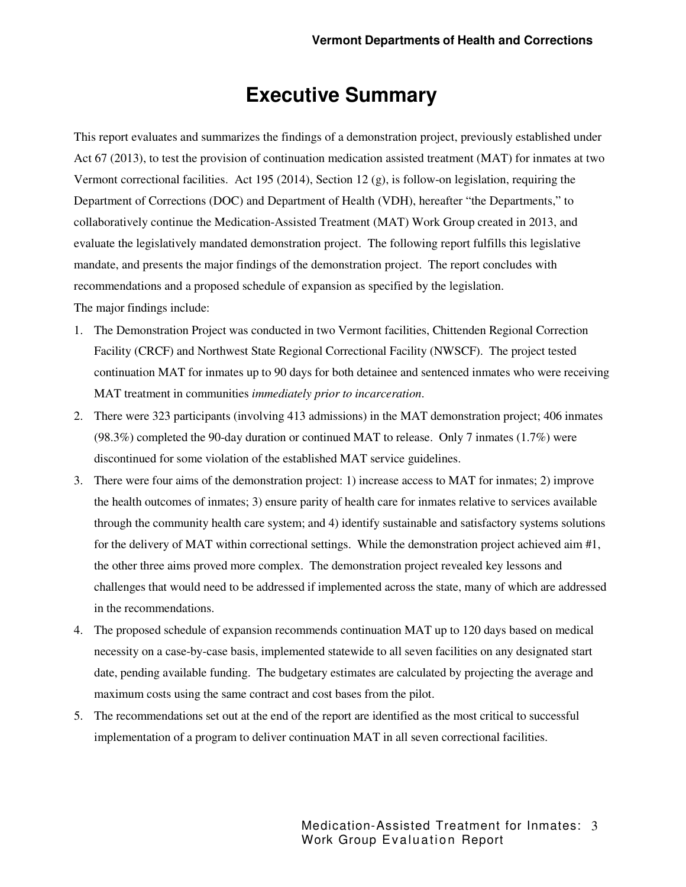## **Executive Summary**

This report evaluates and summarizes the findings of a demonstration project, previously established under Act 67 (2013), to test the provision of continuation medication assisted treatment (MAT) for inmates at two Vermont correctional facilities. Act 195 (2014), Section 12 (g), is follow-on legislation, requiring the Department of Corrections (DOC) and Department of Health (VDH), hereafter "the Departments," to collaboratively continue the Medication-Assisted Treatment (MAT) Work Group created in 2013, and evaluate the legislatively mandated demonstration project. The following report fulfills this legislative mandate, and presents the major findings of the demonstration project. The report concludes with recommendations and a proposed schedule of expansion as specified by the legislation.

The major findings include:

- 1. The Demonstration Project was conducted in two Vermont facilities, Chittenden Regional Correction Facility (CRCF) and Northwest State Regional Correctional Facility (NWSCF). The project tested continuation MAT for inmates up to 90 days for both detainee and sentenced inmates who were receiving MAT treatment in communities *immediately prior to incarceration*.
- 2. There were 323 participants (involving 413 admissions) in the MAT demonstration project; 406 inmates (98.3%) completed the 90-day duration or continued MAT to release. Only 7 inmates (1.7%) were discontinued for some violation of the established MAT service guidelines.
- 3. There were four aims of the demonstration project: 1) increase access to MAT for inmates; 2) improve the health outcomes of inmates; 3) ensure parity of health care for inmates relative to services available through the community health care system; and 4) identify sustainable and satisfactory systems solutions for the delivery of MAT within correctional settings. While the demonstration project achieved aim #1, the other three aims proved more complex. The demonstration project revealed key lessons and challenges that would need to be addressed if implemented across the state, many of which are addressed in the recommendations.
- 4. The proposed schedule of expansion recommends continuation MAT up to 120 days based on medical necessity on a case-by-case basis, implemented statewide to all seven facilities on any designated start date, pending available funding. The budgetary estimates are calculated by projecting the average and maximum costs using the same contract and cost bases from the pilot.
- 5. The recommendations set out at the end of the report are identified as the most critical to successful implementation of a program to deliver continuation MAT in all seven correctional facilities.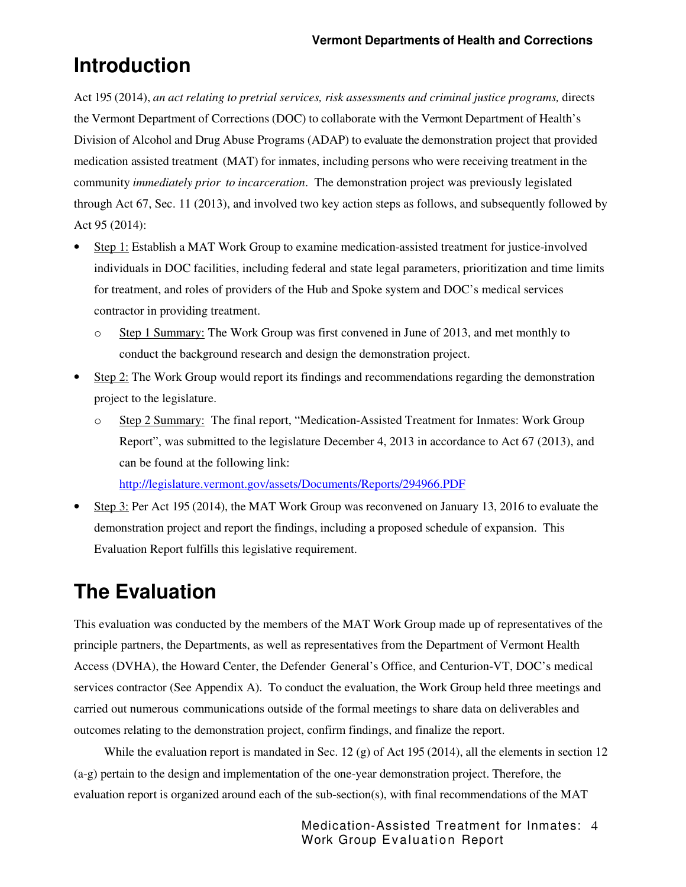# **Introduction**

Act 195 (2014), *an act relating to pretrial services, risk assessments and criminal justice programs*, directs the Vermont Department of Corrections (DOC) to collaborate with the Vermont Department of Health's Division of Alcohol and Drug Abuse Programs (ADAP) to evaluate the demonstration project that provided medication assisted treatment (MAT) for inmates, including persons who were receiving treatment in the community *immediately prior to incarceration*. The demonstration project was previously legislated through Act 67, Sec. 11 (2013), and involved two key action steps as follows, and subsequently followed by Act 95 (2014):

- Step 1: Establish a MAT Work Group to examine medication-assisted treatment for justice-involved individuals in DOC facilities, including federal and state legal parameters, prioritization and time limits for treatment, and roles of providers of the Hub and Spoke system and DOC's medical services contractor in providing treatment.
	- o Step 1 Summary: The Work Group was first convened in June of 2013, and met monthly to conduct the background research and design the demonstration project.
- Step 2: The Work Group would report its findings and recommendations regarding the demonstration project to the legislature.
	- o Step 2 Summary: The final report, "Medication-Assisted Treatment for Inmates: Work Group Report", was submitted to the legislature December 4, 2013 in accordance to Act 67 (2013), and can be found at the following link: http://legislature.vermont.gov/assets/Documents/Reports/294966.PDF
- Step 3: Per Act 195 (2014), the MAT Work Group was reconvened on January 13, 2016 to evaluate the demonstration project and report the findings, including a proposed schedule of expansion. This Evaluation Report fulfills this legislative requirement.

# **The Evaluation**

This evaluation was conducted by the members of the MAT Work Group made up of representatives of the principle partners, the Departments, as well as representatives from the Department of Vermont Health Access (DVHA), the Howard Center, the Defender General's Office, and Centurion-VT, DOC's medical services contractor (See Appendix A). To conduct the evaluation, the Work Group held three meetings and carried out numerous communications outside of the formal meetings to share data on deliverables and outcomes relating to the demonstration project, confirm findings, and finalize the report.

While the evaluation report is mandated in Sec. 12 (g) of Act 195 (2014), all the elements in section 12 (a-g) pertain to the design and implementation of the one-year demonstration project. Therefore, the evaluation report is organized around each of the sub-section(s), with final recommendations of the MAT

> Medication-Assisted Treatment for Inmates: 4 Work Group Evaluation Report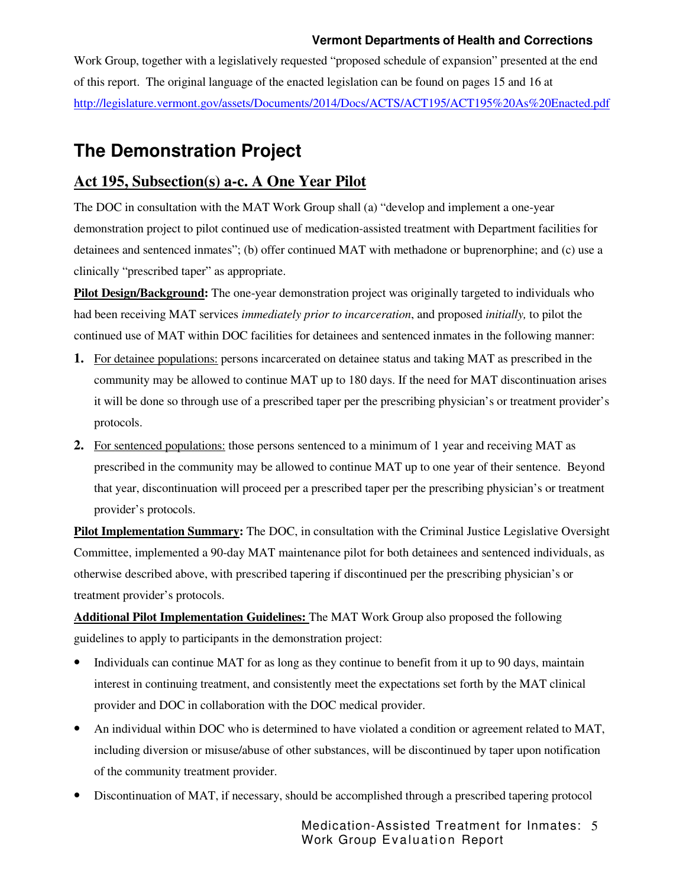Work Group, together with a legislatively requested "proposed schedule of expansion" presented at the end of this report. The original language of the enacted legislation can be found on pages 15 and 16 at http://legislature.vermont.gov/assets/Documents/2014/Docs/ACTS/ACT195/ACT195%20As%20Enacted.pdf

## **The Demonstration Project**

## **Act 195, Subsection(s) a-c. A One Year Pilot**

The DOC in consultation with the MAT Work Group shall (a) "develop and implement a one-year demonstration project to pilot continued use of medication-assisted treatment with Department facilities for detainees and sentenced inmates"; (b) offer continued MAT with methadone or buprenorphine; and (c) use a clinically "prescribed taper" as appropriate.

**Pilot Design/Background:** The one-year demonstration project was originally targeted to individuals who had been receiving MAT services *immediately prior to incarceration*, and proposed *initially,* to pilot the continued use of MAT within DOC facilities for detainees and sentenced inmates in the following manner:

- **1.** For detainee populations: persons incarcerated on detainee status and taking MAT as prescribed in the community may be allowed to continue MAT up to 180 days. If the need for MAT discontinuation arises it will be done so through use of a prescribed taper per the prescribing physician's or treatment provider's protocols.
- **2.** For sentenced populations: those persons sentenced to a minimum of 1 year and receiving MAT as prescribed in the community may be allowed to continue MAT up to one year of their sentence. Beyond that year, discontinuation will proceed per a prescribed taper per the prescribing physician's or treatment provider's protocols.

**Pilot Implementation Summary:** The DOC, in consultation with the Criminal Justice Legislative Oversight Committee, implemented a 90-day MAT maintenance pilot for both detainees and sentenced individuals, as otherwise described above, with prescribed tapering if discontinued per the prescribing physician's or treatment provider's protocols.

**Additional Pilot Implementation Guidelines:** The MAT Work Group also proposed the following guidelines to apply to participants in the demonstration project:

- Individuals can continue MAT for as long as they continue to benefit from it up to 90 days, maintain interest in continuing treatment, and consistently meet the expectations set forth by the MAT clinical provider and DOC in collaboration with the DOC medical provider.
- An individual within DOC who is determined to have violated a condition or agreement related to MAT, including diversion or misuse/abuse of other substances, will be discontinued by taper upon notification of the community treatment provider.
- Discontinuation of MAT, if necessary, should be accomplished through a prescribed tapering protocol

Medication-Assisted Treatment for Inmates: 5 Work Group Evaluation Report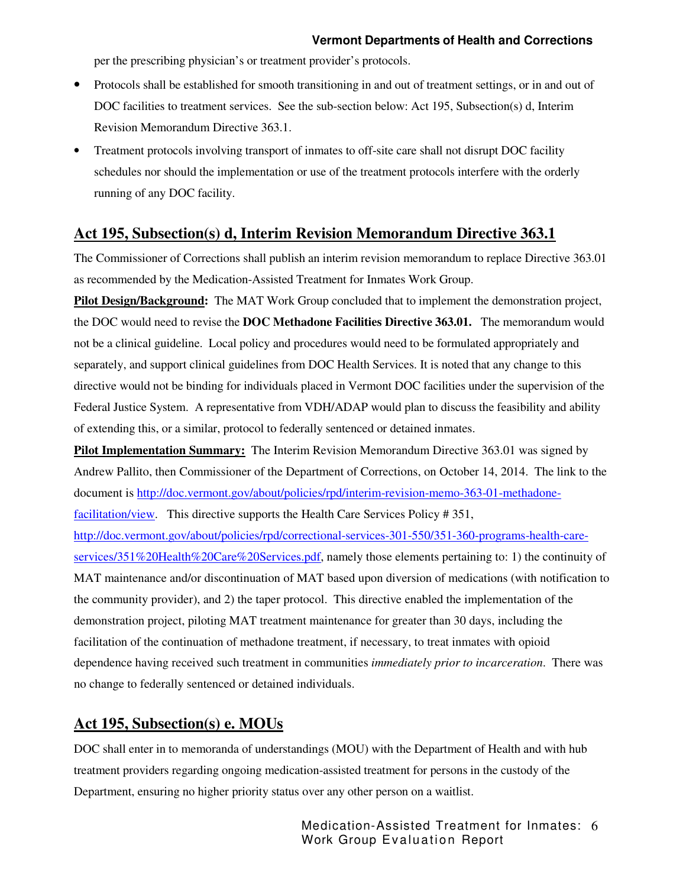per the prescribing physician's or treatment provider's protocols.

- Protocols shall be established for smooth transitioning in and out of treatment settings, or in and out of DOC facilities to treatment services. See the sub-section below: Act 195, Subsection(s) d, Interim Revision Memorandum Directive 363.1.
- Treatment protocols involving transport of inmates to off-site care shall not disrupt DOC facility schedules nor should the implementation or use of the treatment protocols interfere with the orderly running of any DOC facility.

## **Act 195, Subsection(s) d, Interim Revision Memorandum Directive 363.1**

The Commissioner of Corrections shall publish an interim revision memorandum to replace Directive 363.01 as recommended by the Medication-Assisted Treatment for Inmates Work Group.

**Pilot Design/Background:** The MAT Work Group concluded that to implement the demonstration project, the DOC would need to revise the **DOC Methadone Facilities Directive 363.01.** The memorandum would not be a clinical guideline. Local policy and procedures would need to be formulated appropriately and separately, and support clinical guidelines from DOC Health Services. It is noted that any change to this directive would not be binding for individuals placed in Vermont DOC facilities under the supervision of the Federal Justice System. A representative from VDH/ADAP would plan to discuss the feasibility and ability of extending this, or a similar, protocol to federally sentenced or detained inmates.

**Pilot Implementation Summary:** The Interim Revision Memorandum Directive 363.01 was signed by Andrew Pallito, then Commissioner of the Department of Corrections, on October 14, 2014. The link to the document is http://doc.vermont.gov/about/policies/rpd/interim-revision-memo-363-01-methadonefacilitation/view. This directive supports the Health Care Services Policy # 351, http://doc.vermont.gov/about/policies/rpd/correctional-services-301-550/351-360-programs-health-careservices/351%20Health%20Care%20Services.pdf, namely those elements pertaining to: 1) the continuity of MAT maintenance and/or discontinuation of MAT based upon diversion of medications (with notification to the community provider), and 2) the taper protocol. This directive enabled the implementation of the demonstration project, piloting MAT treatment maintenance for greater than 30 days, including the facilitation of the continuation of methadone treatment, if necessary, to treat inmates with opioid dependence having received such treatment in communities *immediately prior to incarceration*. There was no change to federally sentenced or detained individuals.

## **Act 195, Subsection(s) e. MOUs**

DOC shall enter in to memoranda of understandings (MOU) with the Department of Health and with hub treatment providers regarding ongoing medication-assisted treatment for persons in the custody of the Department, ensuring no higher priority status over any other person on a waitlist.

> Medication-Assisted Treatment for Inmates: 6 Work Group Evaluation Report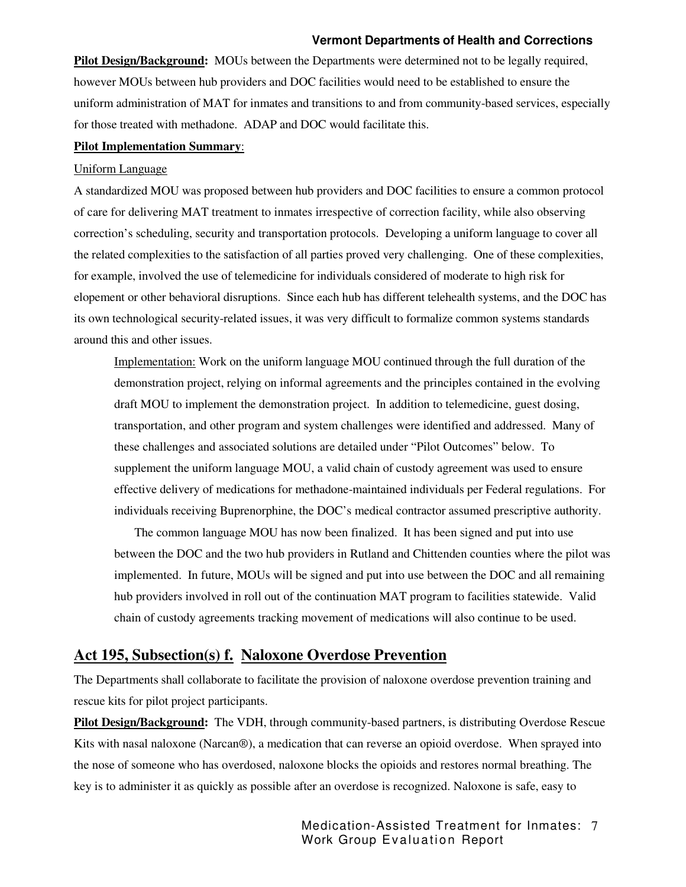**Pilot Design/Background:** MOUs between the Departments were determined not to be legally required, however MOUs between hub providers and DOC facilities would need to be established to ensure the uniform administration of MAT for inmates and transitions to and from community-based services, especially for those treated with methadone. ADAP and DOC would facilitate this.

#### **Pilot Implementation Summary**:

#### Uniform Language

A standardized MOU was proposed between hub providers and DOC facilities to ensure a common protocol of care for delivering MAT treatment to inmates irrespective of correction facility, while also observing correction's scheduling, security and transportation protocols. Developing a uniform language to cover all the related complexities to the satisfaction of all parties proved very challenging. One of these complexities, for example, involved the use of telemedicine for individuals considered of moderate to high risk for elopement or other behavioral disruptions. Since each hub has different telehealth systems, and the DOC has its own technological security-related issues, it was very difficult to formalize common systems standards around this and other issues.

Implementation: Work on the uniform language MOU continued through the full duration of the demonstration project, relying on informal agreements and the principles contained in the evolving draft MOU to implement the demonstration project. In addition to telemedicine, guest dosing, transportation, and other program and system challenges were identified and addressed. Many of these challenges and associated solutions are detailed under "Pilot Outcomes" below. To supplement the uniform language MOU, a valid chain of custody agreement was used to ensure effective delivery of medications for methadone-maintained individuals per Federal regulations. For individuals receiving Buprenorphine, the DOC's medical contractor assumed prescriptive authority.

The common language MOU has now been finalized. It has been signed and put into use between the DOC and the two hub providers in Rutland and Chittenden counties where the pilot was implemented. In future, MOUs will be signed and put into use between the DOC and all remaining hub providers involved in roll out of the continuation MAT program to facilities statewide. Valid chain of custody agreements tracking movement of medications will also continue to be used.

#### **Act 195, Subsection(s) f. Naloxone Overdose Prevention**

The Departments shall collaborate to facilitate the provision of naloxone overdose prevention training and rescue kits for pilot project participants.

**Pilot Design/Background:** The VDH, through community-based partners, is distributing Overdose Rescue Kits with nasal naloxone (Narcan®), a medication that can reverse an opioid overdose. When sprayed into the nose of someone who has overdosed, naloxone blocks the opioids and restores normal breathing. The key is to administer it as quickly as possible after an overdose is recognized. Naloxone is safe, easy to

> Medication-Assisted Treatment for Inmates: 7 Work Group Evaluation Report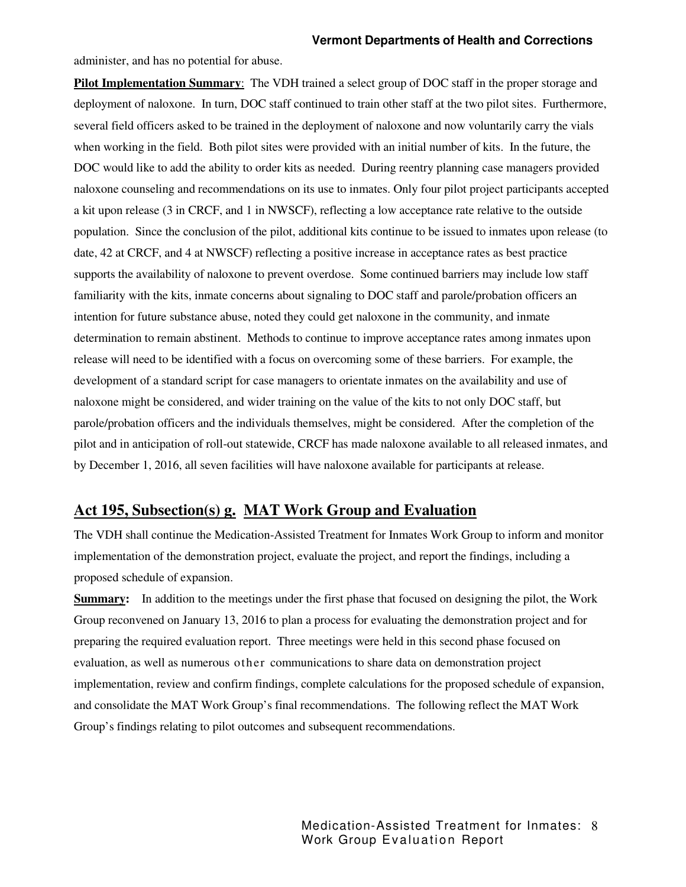administer, and has no potential for abuse.

**Pilot Implementation Summary**: The VDH trained a select group of DOC staff in the proper storage and deployment of naloxone. In turn, DOC staff continued to train other staff at the two pilot sites. Furthermore, several field officers asked to be trained in the deployment of naloxone and now voluntarily carry the vials when working in the field. Both pilot sites were provided with an initial number of kits. In the future, the DOC would like to add the ability to order kits as needed. During reentry planning case managers provided naloxone counseling and recommendations on its use to inmates. Only four pilot project participants accepted a kit upon release (3 in CRCF, and 1 in NWSCF), reflecting a low acceptance rate relative to the outside population. Since the conclusion of the pilot, additional kits continue to be issued to inmates upon release (to date, 42 at CRCF, and 4 at NWSCF) reflecting a positive increase in acceptance rates as best practice supports the availability of naloxone to prevent overdose. Some continued barriers may include low staff familiarity with the kits, inmate concerns about signaling to DOC staff and parole/probation officers an intention for future substance abuse, noted they could get naloxone in the community, and inmate determination to remain abstinent. Methods to continue to improve acceptance rates among inmates upon release will need to be identified with a focus on overcoming some of these barriers. For example, the development of a standard script for case managers to orientate inmates on the availability and use of naloxone might be considered, and wider training on the value of the kits to not only DOC staff, but parole/probation officers and the individuals themselves, might be considered. After the completion of the pilot and in anticipation of roll-out statewide, CRCF has made naloxone available to all released inmates, and by December 1, 2016, all seven facilities will have naloxone available for participants at release.

### **Act 195, Subsection(s) g. MAT Work Group and Evaluation**

The VDH shall continue the Medication-Assisted Treatment for Inmates Work Group to inform and monitor implementation of the demonstration project, evaluate the project, and report the findings, including a proposed schedule of expansion.

**Summary:** In addition to the meetings under the first phase that focused on designing the pilot, the Work Group reconvened on January 13, 2016 to plan a process for evaluating the demonstration project and for preparing the required evaluation report. Three meetings were held in this second phase focused on evaluation, as well as numerous other communications to share data on demonstration project implementation, review and confirm findings, complete calculations for the proposed schedule of expansion, and consolidate the MAT Work Group's final recommendations. The following reflect the MAT Work Group's findings relating to pilot outcomes and subsequent recommendations.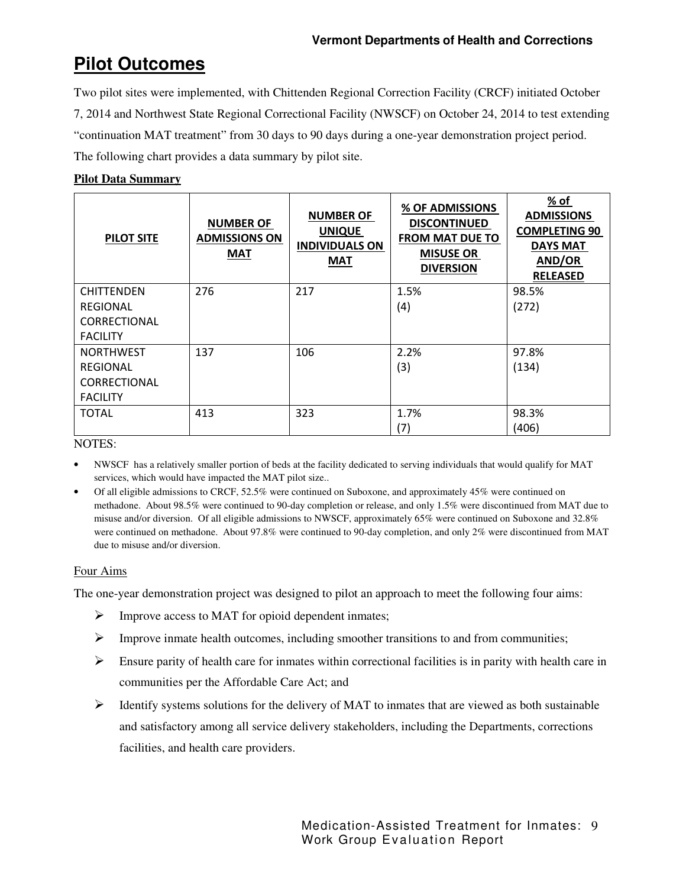## **Pilot Outcomes**

Two pilot sites were implemented, with Chittenden Regional Correction Facility (CRCF) initiated October 7, 2014 and Northwest State Regional Correctional Facility (NWSCF) on October 24, 2014 to test extending "continuation MAT treatment" from 30 days to 90 days during a one-year demonstration project period. The following chart provides a data summary by pilot site.

### **Pilot Data Summary**

| <b>PILOT SITE</b>                                           | <b>NUMBER OF</b><br><b>ADMISSIONS ON</b><br><b>MAT</b> | <b>NUMBER OF</b><br><b>UNIQUE</b><br><b>INDIVIDUALS ON</b><br><b>MAT</b> | % OF ADMISSIONS<br><b>DISCONTINUED</b><br><b>FROM MAT DUE TO</b><br><b>MISUSE OR</b><br><b>DIVERSION</b> | % of<br><b>ADMISSIONS</b><br><b>COMPLETING 90</b><br><b>DAYS MAT</b><br>AND/OR<br><b>RELEASED</b> |
|-------------------------------------------------------------|--------------------------------------------------------|--------------------------------------------------------------------------|----------------------------------------------------------------------------------------------------------|---------------------------------------------------------------------------------------------------|
| <b>CHITTENDEN</b><br><b>REGIONAL</b><br><b>CORRECTIONAL</b> | 276                                                    | 217                                                                      | 1.5%<br>(4)                                                                                              | 98.5%<br>(272)                                                                                    |
| <b>FACILITY</b>                                             |                                                        |                                                                          |                                                                                                          |                                                                                                   |
| <b>NORTHWEST</b><br><b>REGIONAL</b>                         | 137                                                    | 106                                                                      | 2.2%<br>(3)                                                                                              | 97.8%<br>(134)                                                                                    |
| <b>CORRECTIONAL</b><br><b>FACILITY</b>                      |                                                        |                                                                          |                                                                                                          |                                                                                                   |
| TOTAL                                                       | 413                                                    | 323                                                                      | 1.7%<br>(7)                                                                                              | 98.3%<br>(406)                                                                                    |

NOTES:

• NWSCF has a relatively smaller portion of beds at the facility dedicated to serving individuals that would qualify for MAT services, which would have impacted the MAT pilot size..

• Of all eligible admissions to CRCF, 52.5% were continued on Suboxone, and approximately 45% were continued on methadone. About 98.5% were continued to 90-day completion or release, and only 1.5% were discontinued from MAT due to misuse and/or diversion. Of all eligible admissions to NWSCF, approximately 65% were continued on Suboxone and 32.8% were continued on methadone. About 97.8% were continued to 90-day completion, and only 2% were discontinued from MAT due to misuse and/or diversion.

#### Four Aims

The one-year demonstration project was designed to pilot an approach to meet the following four aims:

- $\triangleright$  Improve access to MAT for opioid dependent inmates;
- $\triangleright$  Improve inmate health outcomes, including smoother transitions to and from communities;
- $\triangleright$  Ensure parity of health care for inmates within correctional facilities is in parity with health care in communities per the Affordable Care Act; and
- $\triangleright$  Identify systems solutions for the delivery of MAT to inmates that are viewed as both sustainable and satisfactory among all service delivery stakeholders, including the Departments, corrections facilities, and health care providers.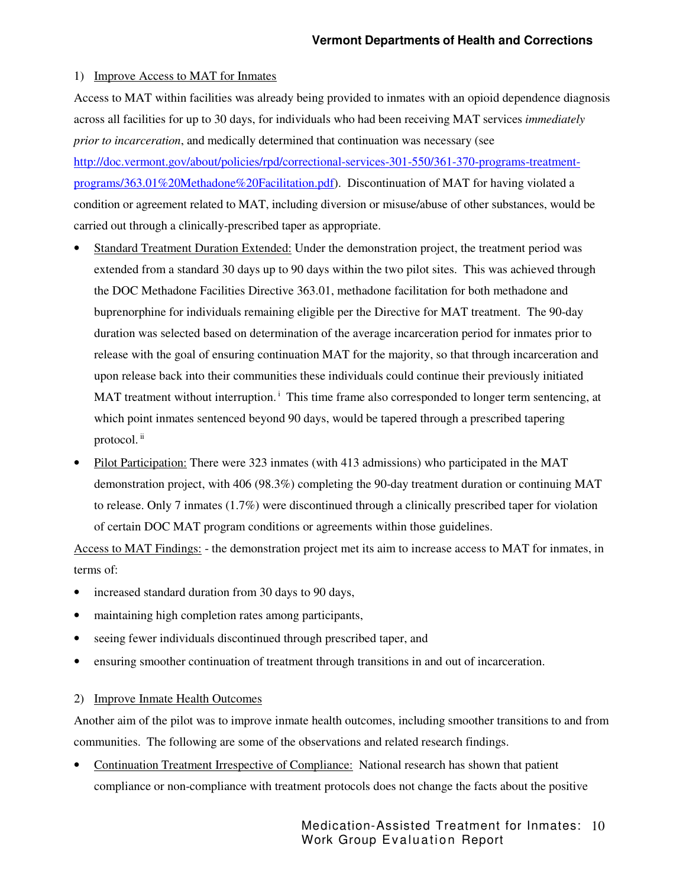#### 1) Improve Access to MAT for Inmates

Access to MAT within facilities was already being provided to inmates with an opioid dependence diagnosis across all facilities for up to 30 days, for individuals who had been receiving MAT services *immediately prior to incarceration*, and medically determined that continuation was necessary (see http://doc.vermont.gov/about/policies/rpd/correctional-services-301-550/361-370-programs-treatmentprograms/363.01%20Methadone%20Facilitation.pdf). Discontinuation of MAT for having violated a condition or agreement related to MAT, including diversion or misuse/abuse of other substances, would be carried out through a clinically-prescribed taper as appropriate.

- Standard Treatment Duration Extended: Under the demonstration project, the treatment period was extended from a standard 30 days up to 90 days within the two pilot sites. This was achieved through the DOC Methadone Facilities Directive 363.01, methadone facilitation for both methadone and buprenorphine for individuals remaining eligible per the Directive for MAT treatment. The 90-day duration was selected based on determination of the average incarceration period for inmates prior to release with the goal of ensuring continuation MAT for the majority, so that through incarceration and upon release back into their communities these individuals could continue their previously initiated MAT treatment without interruption.<sup> $\text{ }$ </sup> This time frame also corresponded to longer term sentencing, at which point inmates sentenced beyond 90 days, would be tapered through a prescribed tapering protocol. ii
- Pilot Participation: There were 323 inmates (with 413 admissions) who participated in the MAT demonstration project, with 406 (98.3%) completing the 90-day treatment duration or continuing MAT to release. Only 7 inmates (1.7%) were discontinued through a clinically prescribed taper for violation of certain DOC MAT program conditions or agreements within those guidelines.

Access to MAT Findings: - the demonstration project met its aim to increase access to MAT for inmates, in terms of:

- increased standard duration from 30 days to 90 days,
- maintaining high completion rates among participants,
- seeing fewer individuals discontinued through prescribed taper, and
- ensuring smoother continuation of treatment through transitions in and out of incarceration.

#### 2) Improve Inmate Health Outcomes

Another aim of the pilot was to improve inmate health outcomes, including smoother transitions to and from communities. The following are some of the observations and related research findings.

• Continuation Treatment Irrespective of Compliance: National research has shown that patient compliance or non-compliance with treatment protocols does not change the facts about the positive

> Medication-Assisted Treatment for Inmates: 10 Work Group Evaluation Report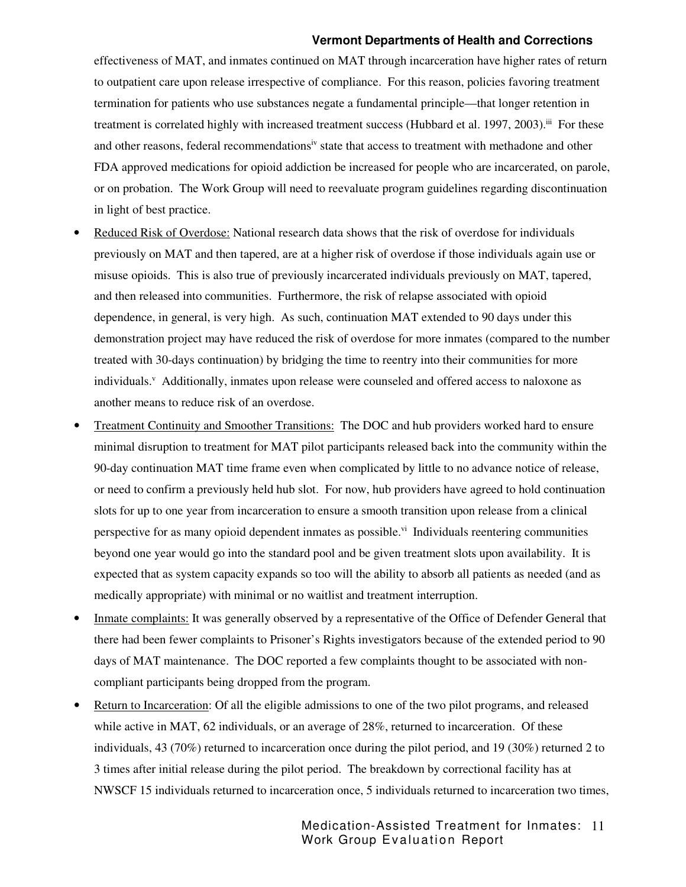effectiveness of MAT, and inmates continued on MAT through incarceration have higher rates of return to outpatient care upon release irrespective of compliance. For this reason, policies favoring treatment termination for patients who use substances negate a fundamental principle—that longer retention in treatment is correlated highly with increased treatment success (Hubbard et al. 1997, 2003).<sup>iii</sup> For these and other reasons, federal recommendations<sup>iv</sup> state that access to treatment with methadone and other FDA approved medications for opioid addiction be increased for people who are incarcerated, on parole, or on probation. The Work Group will need to reevaluate program guidelines regarding discontinuation in light of best practice.

- Reduced Risk of Overdose: National research data shows that the risk of overdose for individuals previously on MAT and then tapered, are at a higher risk of overdose if those individuals again use or misuse opioids. This is also true of previously incarcerated individuals previously on MAT, tapered, and then released into communities. Furthermore, the risk of relapse associated with opioid dependence, in general, is very high. As such, continuation MAT extended to 90 days under this demonstration project may have reduced the risk of overdose for more inmates (compared to the number treated with 30-days continuation) by bridging the time to reentry into their communities for more individuals.<sup>v</sup> Additionally, inmates upon release were counseled and offered access to naloxone as another means to reduce risk of an overdose.
- Treatment Continuity and Smoother Transitions: The DOC and hub providers worked hard to ensure minimal disruption to treatment for MAT pilot participants released back into the community within the 90-day continuation MAT time frame even when complicated by little to no advance notice of release, or need to confirm a previously held hub slot. For now, hub providers have agreed to hold continuation slots for up to one year from incarceration to ensure a smooth transition upon release from a clinical perspective for as many opioid dependent inmates as possible. $\lambda$ <sup>i</sup> Individuals reentering communities beyond one year would go into the standard pool and be given treatment slots upon availability. It is expected that as system capacity expands so too will the ability to absorb all patients as needed (and as medically appropriate) with minimal or no waitlist and treatment interruption.
- Inmate complaints: It was generally observed by a representative of the Office of Defender General that there had been fewer complaints to Prisoner's Rights investigators because of the extended period to 90 days of MAT maintenance. The DOC reported a few complaints thought to be associated with noncompliant participants being dropped from the program.
- Return to Incarceration: Of all the eligible admissions to one of the two pilot programs, and released while active in MAT, 62 individuals, or an average of 28%, returned to incarceration. Of these individuals, 43 (70%) returned to incarceration once during the pilot period, and 19 (30%) returned 2 to 3 times after initial release during the pilot period. The breakdown by correctional facility has at NWSCF 15 individuals returned to incarceration once, 5 individuals returned to incarceration two times,

Medication-Assisted Treatment for Inmates: 11 Work Group Evaluation Report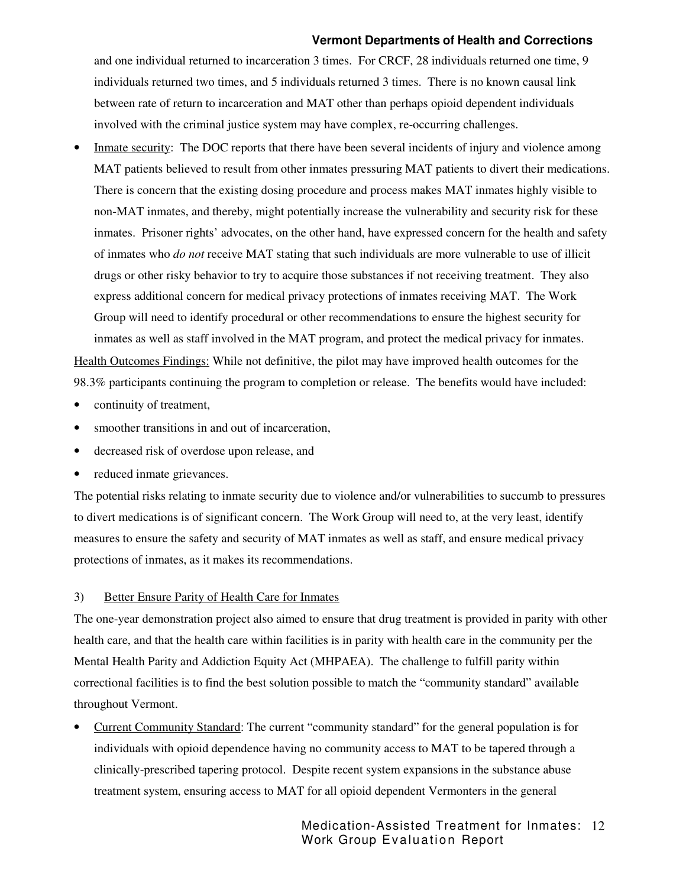and one individual returned to incarceration 3 times. For CRCF, 28 individuals returned one time, 9 individuals returned two times, and 5 individuals returned 3 times. There is no known causal link between rate of return to incarceration and MAT other than perhaps opioid dependent individuals involved with the criminal justice system may have complex, re-occurring challenges.

Inmate security: The DOC reports that there have been several incidents of injury and violence among MAT patients believed to result from other inmates pressuring MAT patients to divert their medications. There is concern that the existing dosing procedure and process makes MAT inmates highly visible to non-MAT inmates, and thereby, might potentially increase the vulnerability and security risk for these inmates. Prisoner rights' advocates, on the other hand, have expressed concern for the health and safety of inmates who *do not* receive MAT stating that such individuals are more vulnerable to use of illicit drugs or other risky behavior to try to acquire those substances if not receiving treatment. They also express additional concern for medical privacy protections of inmates receiving MAT. The Work Group will need to identify procedural or other recommendations to ensure the highest security for inmates as well as staff involved in the MAT program, and protect the medical privacy for inmates. Health Outcomes Findings: While not definitive, the pilot may have improved health outcomes for the

98.3% participants continuing the program to completion or release. The benefits would have included:

- continuity of treatment,
- smoother transitions in and out of incarceration,
- decreased risk of overdose upon release, and
- reduced inmate grievances.

The potential risks relating to inmate security due to violence and/or vulnerabilities to succumb to pressures to divert medications is of significant concern. The Work Group will need to, at the very least, identify measures to ensure the safety and security of MAT inmates as well as staff, and ensure medical privacy protections of inmates, as it makes its recommendations.

#### 3) Better Ensure Parity of Health Care for Inmates

The one-year demonstration project also aimed to ensure that drug treatment is provided in parity with other health care, and that the health care within facilities is in parity with health care in the community per the Mental Health Parity and Addiction Equity Act (MHPAEA). The challenge to fulfill parity within correctional facilities is to find the best solution possible to match the "community standard" available throughout Vermont.

• Current Community Standard: The current "community standard" for the general population is for individuals with opioid dependence having no community access to MAT to be tapered through a clinically-prescribed tapering protocol. Despite recent system expansions in the substance abuse treatment system, ensuring access to MAT for all opioid dependent Vermonters in the general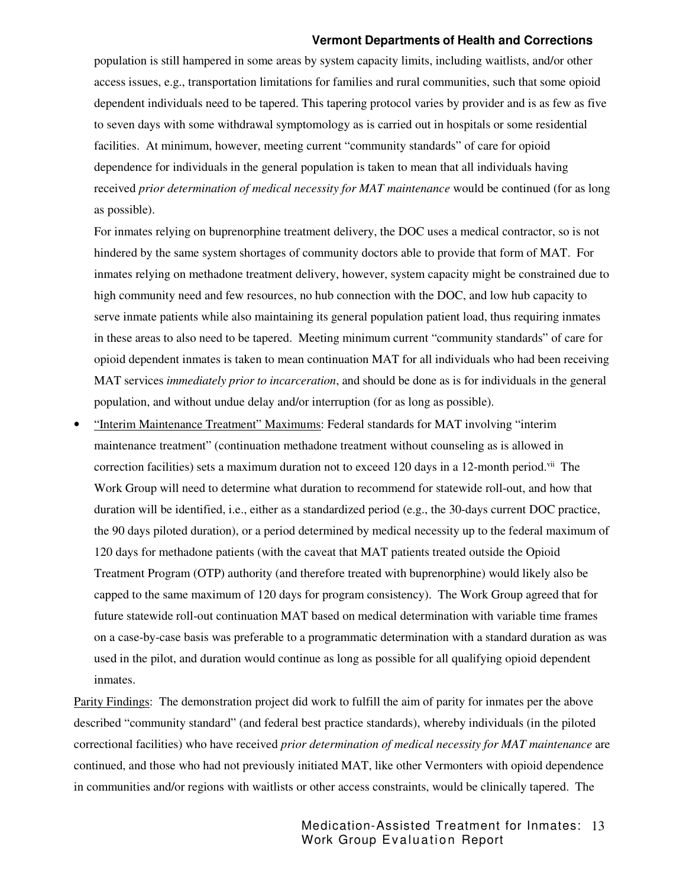population is still hampered in some areas by system capacity limits, including waitlists, and/or other access issues, e.g., transportation limitations for families and rural communities, such that some opioid dependent individuals need to be tapered. This tapering protocol varies by provider and is as few as five to seven days with some withdrawal symptomology as is carried out in hospitals or some residential facilities. At minimum, however, meeting current "community standards" of care for opioid dependence for individuals in the general population is taken to mean that all individuals having received *prior determination of medical necessity for MAT maintenance* would be continued (for as long as possible).

 For inmates relying on buprenorphine treatment delivery, the DOC uses a medical contractor, so is not hindered by the same system shortages of community doctors able to provide that form of MAT. For inmates relying on methadone treatment delivery, however, system capacity might be constrained due to high community need and few resources, no hub connection with the DOC, and low hub capacity to serve inmate patients while also maintaining its general population patient load, thus requiring inmates in these areas to also need to be tapered. Meeting minimum current "community standards" of care for opioid dependent inmates is taken to mean continuation MAT for all individuals who had been receiving MAT services *immediately prior to incarceration*, and should be done as is for individuals in the general population, and without undue delay and/or interruption (for as long as possible).

• "Interim Maintenance Treatment" Maximums: Federal standards for MAT involving "interim maintenance treatment" (continuation methadone treatment without counseling as is allowed in correction facilities) sets a maximum duration not to exceed 120 days in a 12-month period. The Work Group will need to determine what duration to recommend for statewide roll-out, and how that duration will be identified, i.e., either as a standardized period (e.g., the 30-days current DOC practice, the 90 days piloted duration), or a period determined by medical necessity up to the federal maximum of 120 days for methadone patients (with the caveat that MAT patients treated outside the Opioid Treatment Program (OTP) authority (and therefore treated with buprenorphine) would likely also be capped to the same maximum of 120 days for program consistency). The Work Group agreed that for future statewide roll-out continuation MAT based on medical determination with variable time frames on a case-by-case basis was preferable to a programmatic determination with a standard duration as was used in the pilot, and duration would continue as long as possible for all qualifying opioid dependent inmates.

Parity Findings: The demonstration project did work to fulfill the aim of parity for inmates per the above described "community standard" (and federal best practice standards), whereby individuals (in the piloted correctional facilities) who have received *prior determination of medical necessity for MAT maintenance* are continued, and those who had not previously initiated MAT, like other Vermonters with opioid dependence in communities and/or regions with waitlists or other access constraints, would be clinically tapered. The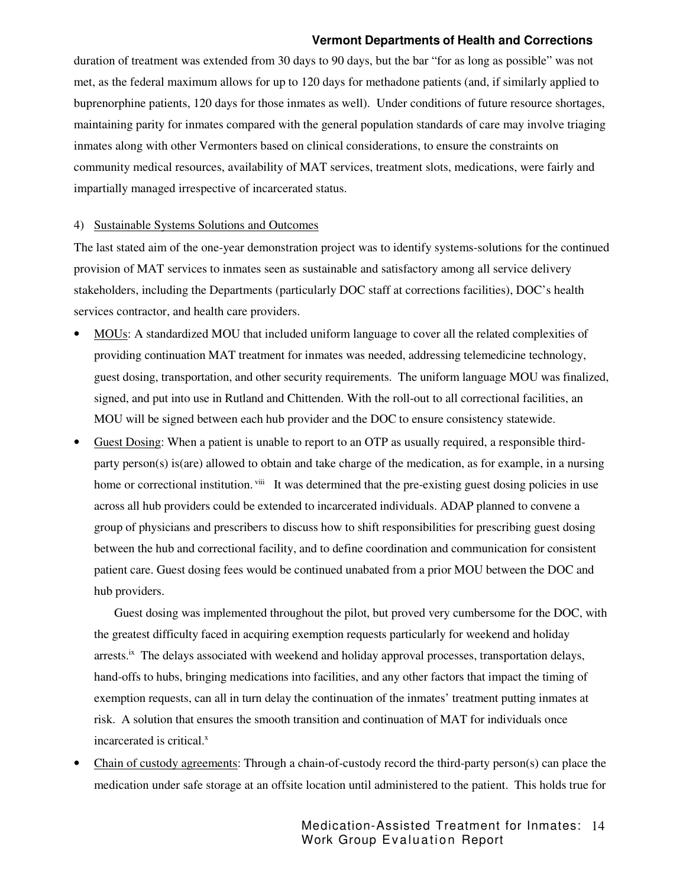duration of treatment was extended from 30 days to 90 days, but the bar "for as long as possible" was not met, as the federal maximum allows for up to 120 days for methadone patients (and, if similarly applied to buprenorphine patients, 120 days for those inmates as well). Under conditions of future resource shortages, maintaining parity for inmates compared with the general population standards of care may involve triaging inmates along with other Vermonters based on clinical considerations, to ensure the constraints on community medical resources, availability of MAT services, treatment slots, medications, were fairly and impartially managed irrespective of incarcerated status.

#### 4) Sustainable Systems Solutions and Outcomes

The last stated aim of the one-year demonstration project was to identify systems-solutions for the continued provision of MAT services to inmates seen as sustainable and satisfactory among all service delivery stakeholders, including the Departments (particularly DOC staff at corrections facilities), DOC's health services contractor, and health care providers.

- MOUs: A standardized MOU that included uniform language to cover all the related complexities of providing continuation MAT treatment for inmates was needed, addressing telemedicine technology, guest dosing, transportation, and other security requirements. The uniform language MOU was finalized, signed, and put into use in Rutland and Chittenden. With the roll-out to all correctional facilities, an MOU will be signed between each hub provider and the DOC to ensure consistency statewide.
- Guest Dosing: When a patient is unable to report to an OTP as usually required, a responsible thirdparty person(s) is(are) allowed to obtain and take charge of the medication, as for example, in a nursing home or correctional institution. <sup>viii</sup> It was determined that the pre-existing guest dosing policies in use across all hub providers could be extended to incarcerated individuals. ADAP planned to convene a group of physicians and prescribers to discuss how to shift responsibilities for prescribing guest dosing between the hub and correctional facility, and to define coordination and communication for consistent patient care. Guest dosing fees would be continued unabated from a prior MOU between the DOC and hub providers.

Guest dosing was implemented throughout the pilot, but proved very cumbersome for the DOC, with the greatest difficulty faced in acquiring exemption requests particularly for weekend and holiday arrests.<sup>ix</sup> The delays associated with weekend and holiday approval processes, transportation delays, hand-offs to hubs, bringing medications into facilities, and any other factors that impact the timing of exemption requests, can all in turn delay the continuation of the inmates' treatment putting inmates at risk. A solution that ensures the smooth transition and continuation of MAT for individuals once incarcerated is critical.<sup>x</sup>

• Chain of custody agreements: Through a chain-of-custody record the third-party person(s) can place the medication under safe storage at an offsite location until administered to the patient. This holds true for

> Medication-Assisted Treatment for Inmates: 14 Work Group Evaluation Report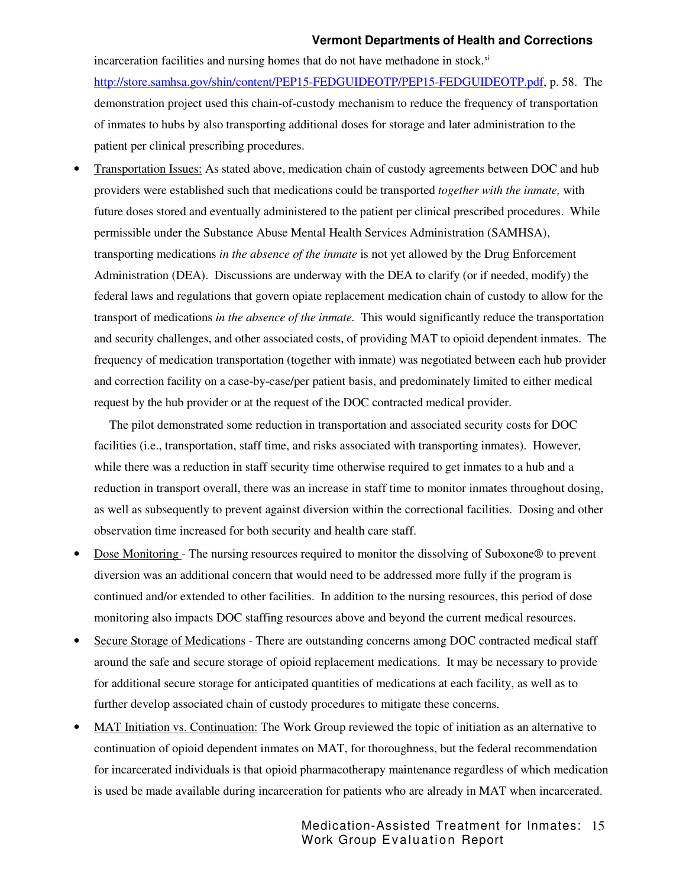incarceration facilities and nursing homes that do not have methadone in stock. $^{\text{xi}}$ http://store.samhsa.gov/shin/content/PEP15-FEDGUIDEOTP/PEP15-FEDGUIDEOTP.pdf, p. 58. The demonstration project used this chain-of-custody mechanism to reduce the frequency of transportation of inmates to hubs by also transporting additional doses for storage and later administration to the patient per clinical prescribing procedures.

• Transportation Issues: As stated above, medication chain of custody agreements between DOC and hub providers were established such that medications could be transported *together with the inmate,* with future doses stored and eventually administered to the patient per clinical prescribed procedures. While permissible under the Substance Abuse Mental Health Services Administration (SAMHSA), transporting medications *in the absence of the inmate* is not yet allowed by the Drug Enforcement Administration (DEA). Discussions are underway with the DEA to clarify (or if needed, modify) the federal laws and regulations that govern opiate replacement medication chain of custody to allow for the transport of medications *in the absence of the inmate.* This would significantly reduce the transportation and security challenges, and other associated costs, of providing MAT to opioid dependent inmates. The frequency of medication transportation (together with inmate) was negotiated between each hub provider and correction facility on a case-by-case/per patient basis, and predominately limited to either medical request by the hub provider or at the request of the DOC contracted medical provider.

The pilot demonstrated some reduction in transportation and associated security costs for DOC facilities (i.e., transportation, staff time, and risks associated with transporting inmates). However, while there was a reduction in staff security time otherwise required to get inmates to a hub and a reduction in transport overall, there was an increase in staff time to monitor inmates throughout dosing, as well as subsequently to prevent against diversion within the correctional facilities. Dosing and other observation time increased for both security and health care staff.

- Dose Monitoring The nursing resources required to monitor the dissolving of Suboxone® to prevent diversion was an additional concern that would need to be addressed more fully if the program is continued and/or extended to other facilities. In addition to the nursing resources, this period of dose monitoring also impacts DOC staffing resources above and beyond the current medical resources.
- Secure Storage of Medications There are outstanding concerns among DOC contracted medical staff around the safe and secure storage of opioid replacement medications. It may be necessary to provide for additional secure storage for anticipated quantities of medications at each facility, as well as to further develop associated chain of custody procedures to mitigate these concerns.
- MAT Initiation vs. Continuation: The Work Group reviewed the topic of initiation as an alternative to continuation of opioid dependent inmates on MAT, for thoroughness, but the federal recommendation for incarcerated individuals is that opioid pharmacotherapy maintenance regardless of which medication is used be made available during incarceration for patients who are already in MAT when incarcerated.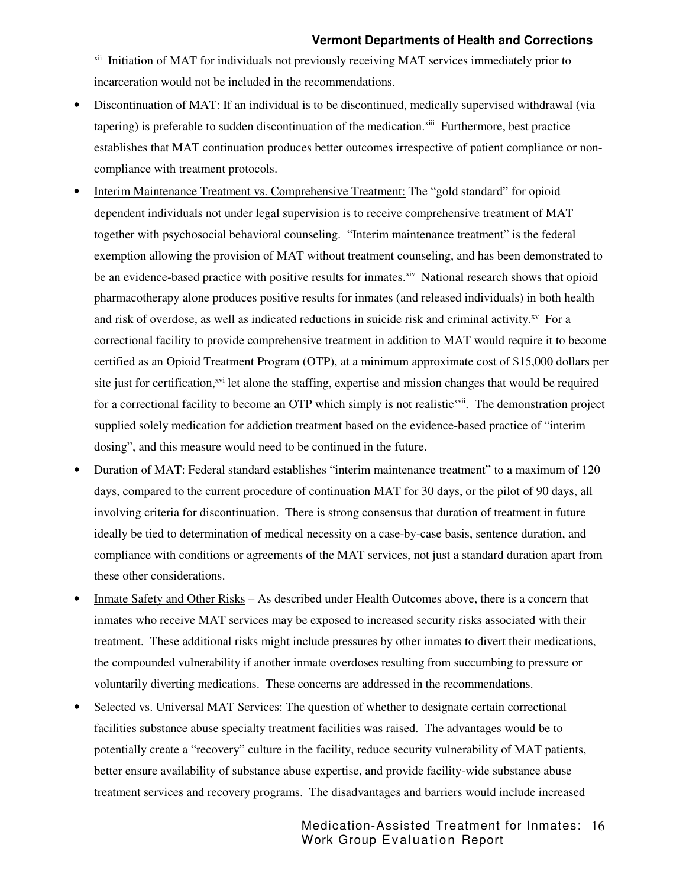<sup>xii</sup> Initiation of MAT for individuals not previously receiving MAT services immediately prior to incarceration would not be included in the recommendations.

- Discontinuation of MAT: If an individual is to be discontinued, medically supervised withdrawal (via tapering) is preferable to sudden discontinuation of the medication.<sup>xiii</sup> Furthermore, best practice establishes that MAT continuation produces better outcomes irrespective of patient compliance or noncompliance with treatment protocols.
- Interim Maintenance Treatment vs. Comprehensive Treatment: The "gold standard" for opioid dependent individuals not under legal supervision is to receive comprehensive treatment of MAT together with psychosocial behavioral counseling. "Interim maintenance treatment" is the federal exemption allowing the provision of MAT without treatment counseling, and has been demonstrated to be an evidence-based practice with positive results for inmates.<sup>xiv</sup> National research shows that opioid pharmacotherapy alone produces positive results for inmates (and released individuals) in both health and risk of overdose, as well as indicated reductions in suicide risk and criminal activity. $^{x}$  For a correctional facility to provide comprehensive treatment in addition to MAT would require it to become certified as an Opioid Treatment Program (OTP), at a minimum approximate cost of \$15,000 dollars per site just for certification,<sup>xvi</sup> let alone the staffing, expertise and mission changes that would be required for a correctional facility to become an OTP which simply is not realistic<sup>xvii</sup>. The demonstration project supplied solely medication for addiction treatment based on the evidence-based practice of "interim dosing", and this measure would need to be continued in the future.
- Duration of MAT: Federal standard establishes "interim maintenance treatment" to a maximum of 120 days, compared to the current procedure of continuation MAT for 30 days, or the pilot of 90 days, all involving criteria for discontinuation. There is strong consensus that duration of treatment in future ideally be tied to determination of medical necessity on a case-by-case basis, sentence duration, and compliance with conditions or agreements of the MAT services, not just a standard duration apart from these other considerations.
- Inmate Safety and Other Risks As described under Health Outcomes above, there is a concern that inmates who receive MAT services may be exposed to increased security risks associated with their treatment. These additional risks might include pressures by other inmates to divert their medications, the compounded vulnerability if another inmate overdoses resulting from succumbing to pressure or voluntarily diverting medications. These concerns are addressed in the recommendations.
- Selected vs. Universal MAT Services: The question of whether to designate certain correctional facilities substance abuse specialty treatment facilities was raised. The advantages would be to potentially create a "recovery" culture in the facility, reduce security vulnerability of MAT patients, better ensure availability of substance abuse expertise, and provide facility-wide substance abuse treatment services and recovery programs. The disadvantages and barriers would include increased

Medication-Assisted Treatment for Inmates: 16 Work Group Evaluation Report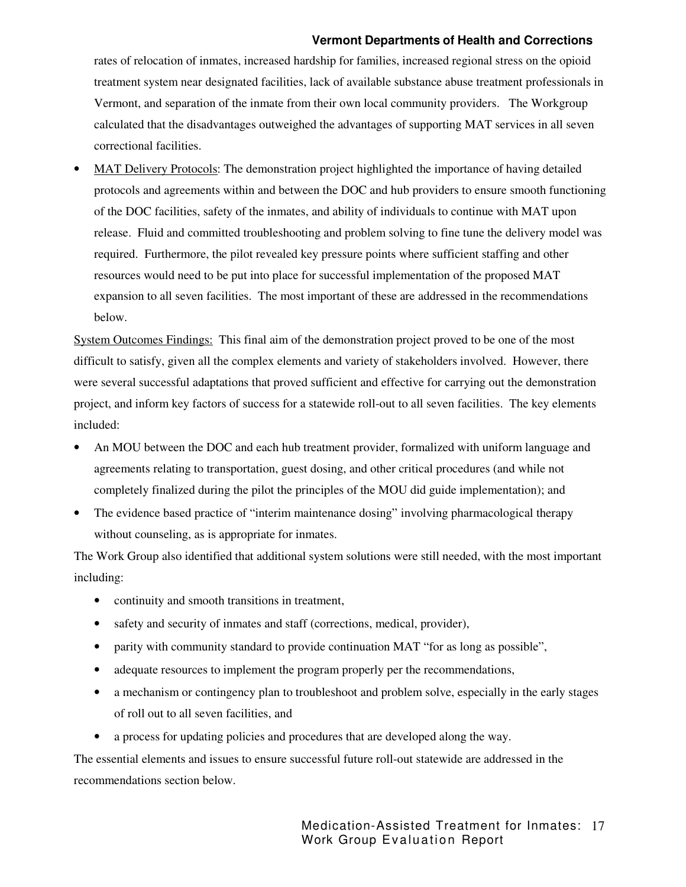rates of relocation of inmates, increased hardship for families, increased regional stress on the opioid treatment system near designated facilities, lack of available substance abuse treatment professionals in Vermont, and separation of the inmate from their own local community providers. The Workgroup calculated that the disadvantages outweighed the advantages of supporting MAT services in all seven correctional facilities.

• MAT Delivery Protocols: The demonstration project highlighted the importance of having detailed protocols and agreements within and between the DOC and hub providers to ensure smooth functioning of the DOC facilities, safety of the inmates, and ability of individuals to continue with MAT upon release. Fluid and committed troubleshooting and problem solving to fine tune the delivery model was required. Furthermore, the pilot revealed key pressure points where sufficient staffing and other resources would need to be put into place for successful implementation of the proposed MAT expansion to all seven facilities. The most important of these are addressed in the recommendations below.

System Outcomes Findings: This final aim of the demonstration project proved to be one of the most difficult to satisfy, given all the complex elements and variety of stakeholders involved. However, there were several successful adaptations that proved sufficient and effective for carrying out the demonstration project, and inform key factors of success for a statewide roll-out to all seven facilities. The key elements included:

- An MOU between the DOC and each hub treatment provider, formalized with uniform language and agreements relating to transportation, guest dosing, and other critical procedures (and while not completely finalized during the pilot the principles of the MOU did guide implementation); and
- The evidence based practice of "interim maintenance dosing" involving pharmacological therapy without counseling, as is appropriate for inmates.

The Work Group also identified that additional system solutions were still needed, with the most important including:

- continuity and smooth transitions in treatment,
- safety and security of inmates and staff (corrections, medical, provider),
- parity with community standard to provide continuation MAT "for as long as possible",
- adequate resources to implement the program properly per the recommendations,
- a mechanism or contingency plan to troubleshoot and problem solve, especially in the early stages of roll out to all seven facilities, and
- a process for updating policies and procedures that are developed along the way.

The essential elements and issues to ensure successful future roll-out statewide are addressed in the recommendations section below.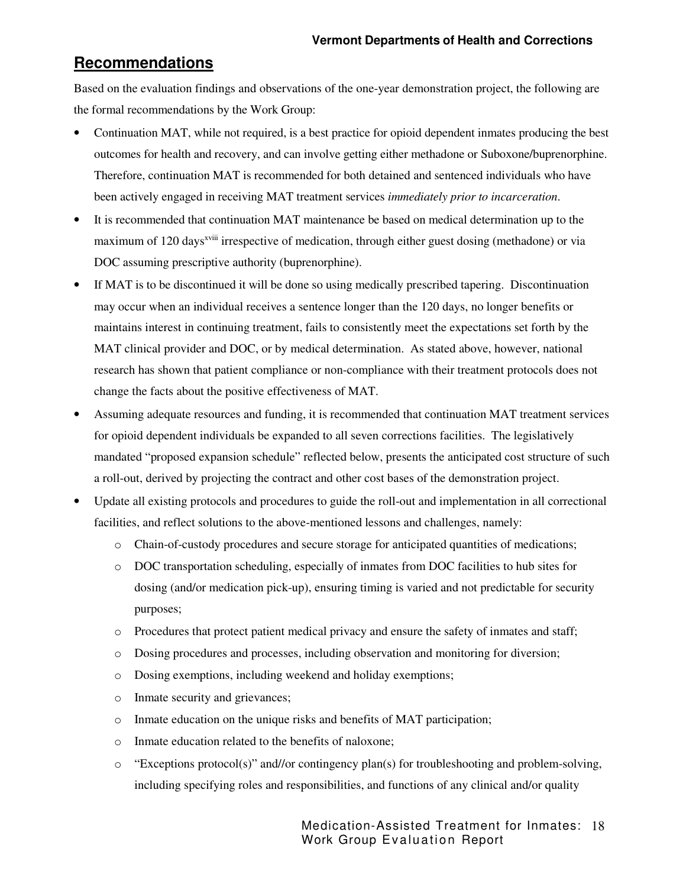## **Recommendations**

Based on the evaluation findings and observations of the one-year demonstration project, the following are the formal recommendations by the Work Group:

- Continuation MAT, while not required, is a best practice for opioid dependent inmates producing the best outcomes for health and recovery, and can involve getting either methadone or Suboxone/buprenorphine. Therefore, continuation MAT is recommended for both detained and sentenced individuals who have been actively engaged in receiving MAT treatment services *immediately prior to incarceration*.
- It is recommended that continuation MAT maintenance be based on medical determination up to the maximum of 120 days<sup>xviii</sup> irrespective of medication, through either guest dosing (methadone) or via DOC assuming prescriptive authority (buprenorphine).
- If MAT is to be discontinued it will be done so using medically prescribed tapering. Discontinuation may occur when an individual receives a sentence longer than the 120 days, no longer benefits or maintains interest in continuing treatment, fails to consistently meet the expectations set forth by the MAT clinical provider and DOC, or by medical determination. As stated above, however, national research has shown that patient compliance or non-compliance with their treatment protocols does not change the facts about the positive effectiveness of MAT.
- Assuming adequate resources and funding, it is recommended that continuation MAT treatment services for opioid dependent individuals be expanded to all seven corrections facilities. The legislatively mandated "proposed expansion schedule" reflected below, presents the anticipated cost structure of such a roll-out, derived by projecting the contract and other cost bases of the demonstration project.
- Update all existing protocols and procedures to guide the roll-out and implementation in all correctional facilities, and reflect solutions to the above-mentioned lessons and challenges, namely:
	- o Chain-of-custody procedures and secure storage for anticipated quantities of medications;
	- o DOC transportation scheduling, especially of inmates from DOC facilities to hub sites for dosing (and/or medication pick-up), ensuring timing is varied and not predictable for security purposes;
	- o Procedures that protect patient medical privacy and ensure the safety of inmates and staff;
	- o Dosing procedures and processes, including observation and monitoring for diversion;
	- o Dosing exemptions, including weekend and holiday exemptions;
	- o Inmate security and grievances;
	- o Inmate education on the unique risks and benefits of MAT participation;
	- o Inmate education related to the benefits of naloxone;
	- o "Exceptions protocol(s)" and//or contingency plan(s) for troubleshooting and problem-solving, including specifying roles and responsibilities, and functions of any clinical and/or quality

Medication-Assisted Treatment for Inmates: 18 Work Group Evaluation Report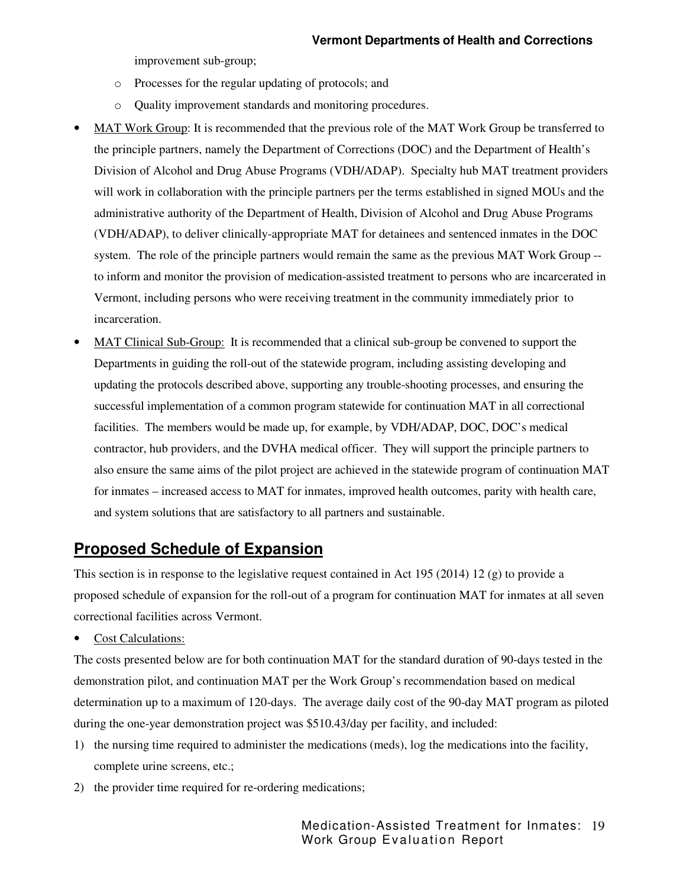improvement sub-group;

- o Processes for the regular updating of protocols; and
- o Quality improvement standards and monitoring procedures.
- MAT Work Group: It is recommended that the previous role of the MAT Work Group be transferred to the principle partners, namely the Department of Corrections (DOC) and the Department of Health's Division of Alcohol and Drug Abuse Programs (VDH/ADAP). Specialty hub MAT treatment providers will work in collaboration with the principle partners per the terms established in signed MOUs and the administrative authority of the Department of Health, Division of Alcohol and Drug Abuse Programs (VDH/ADAP), to deliver clinically-appropriate MAT for detainees and sentenced inmates in the DOC system. The role of the principle partners would remain the same as the previous MAT Work Group - to inform and monitor the provision of medication-assisted treatment to persons who are incarcerated in Vermont, including persons who were receiving treatment in the community immediately prior to incarceration.
- MAT Clinical Sub-Group: It is recommended that a clinical sub-group be convened to support the Departments in guiding the roll-out of the statewide program, including assisting developing and updating the protocols described above, supporting any trouble-shooting processes, and ensuring the successful implementation of a common program statewide for continuation MAT in all correctional facilities. The members would be made up, for example, by VDH/ADAP, DOC, DOC's medical contractor, hub providers, and the DVHA medical officer. They will support the principle partners to also ensure the same aims of the pilot project are achieved in the statewide program of continuation MAT for inmates – increased access to MAT for inmates, improved health outcomes, parity with health care, and system solutions that are satisfactory to all partners and sustainable.

## **Proposed Schedule of Expansion**

This section is in response to the legislative request contained in Act 195 (2014) 12 (g) to provide a proposed schedule of expansion for the roll-out of a program for continuation MAT for inmates at all seven correctional facilities across Vermont.

• Cost Calculations:

The costs presented below are for both continuation MAT for the standard duration of 90-days tested in the demonstration pilot, and continuation MAT per the Work Group's recommendation based on medical determination up to a maximum of 120-days. The average daily cost of the 90-day MAT program as piloted during the one-year demonstration project was \$510.43/day per facility, and included:

- 1) the nursing time required to administer the medications (meds), log the medications into the facility, complete urine screens, etc.;
- 2) the provider time required for re-ordering medications;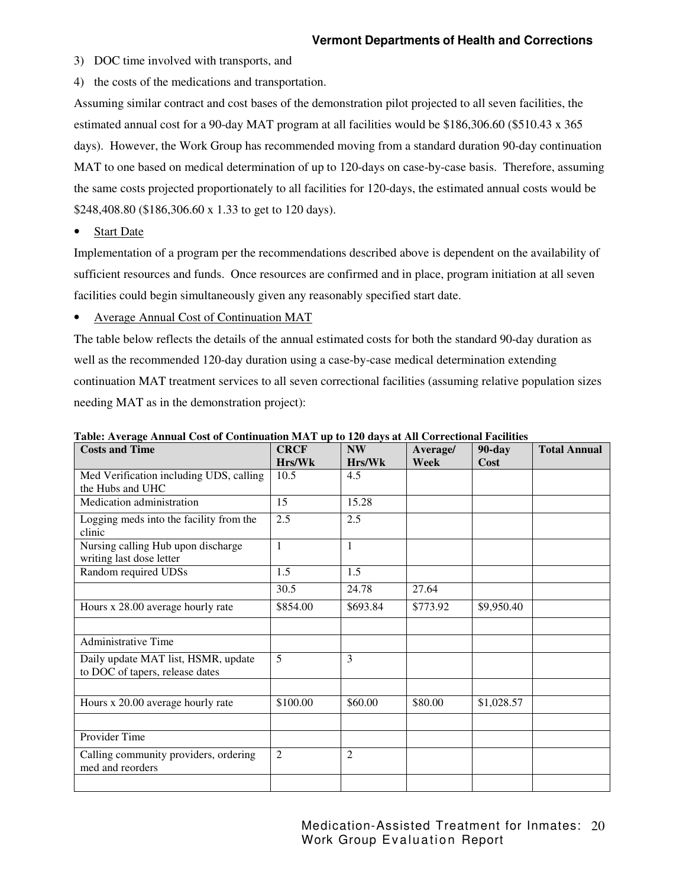3) DOC time involved with transports, and

4) the costs of the medications and transportation.

Assuming similar contract and cost bases of the demonstration pilot projected to all seven facilities, the estimated annual cost for a 90-day MAT program at all facilities would be \$186,306.60 (\$510.43 x 365 days). However, the Work Group has recommended moving from a standard duration 90-day continuation MAT to one based on medical determination of up to 120-days on case-by-case basis. Therefore, assuming the same costs projected proportionately to all facilities for 120-days, the estimated annual costs would be \$248,408.80 (\$186,306.60 x 1.33 to get to 120 days).

• Start Date

Implementation of a program per the recommendations described above is dependent on the availability of sufficient resources and funds. Once resources are confirmed and in place, program initiation at all seven facilities could begin simultaneously given any reasonably specified start date.

• Average Annual Cost of Continuation MAT

The table below reflects the details of the annual estimated costs for both the standard 90-day duration as well as the recommended 120-day duration using a case-by-case medical determination extending continuation MAT treatment services to all seven correctional facilities (assuming relative population sizes needing MAT as in the demonstration project):

| <b>Costs and Time</b>                                                  | <b>CRCF</b>    | <b>NW</b>      | Average/ | <b>90-day</b> | <b>Total Annual</b> |
|------------------------------------------------------------------------|----------------|----------------|----------|---------------|---------------------|
|                                                                        | Hrs/Wk         | Hrs/Wk         | Week     | Cost          |                     |
| Med Verification including UDS, calling                                | 10.5           | 4.5            |          |               |                     |
| the Hubs and UHC                                                       |                |                |          |               |                     |
| Medication administration                                              | 15             | 15.28          |          |               |                     |
| Logging meds into the facility from the<br>clinic                      | 2.5            | 2.5            |          |               |                     |
| Nursing calling Hub upon discharge<br>writing last dose letter         | $\mathbf{1}$   | $\mathbf{1}$   |          |               |                     |
| Random required UDSs                                                   | 1.5            | 1.5            |          |               |                     |
|                                                                        | 30.5           | 24.78          | 27.64    |               |                     |
| Hours x 28.00 average hourly rate                                      | \$854.00       | \$693.84       | \$773.92 | \$9,950.40    |                     |
|                                                                        |                |                |          |               |                     |
| <b>Administrative Time</b>                                             |                |                |          |               |                     |
| Daily update MAT list, HSMR, update<br>to DOC of tapers, release dates | 5              | 3              |          |               |                     |
|                                                                        |                |                |          |               |                     |
| Hours x 20.00 average hourly rate                                      | \$100.00       | \$60.00        | \$80.00  | \$1,028.57    |                     |
|                                                                        |                |                |          |               |                     |
| Provider Time                                                          |                |                |          |               |                     |
| Calling community providers, ordering<br>med and reorders              | $\overline{2}$ | $\overline{2}$ |          |               |                     |
|                                                                        |                |                |          |               |                     |

**Table: Average Annual Cost of Continuation MAT up to 120 days at All Correctional Facilities**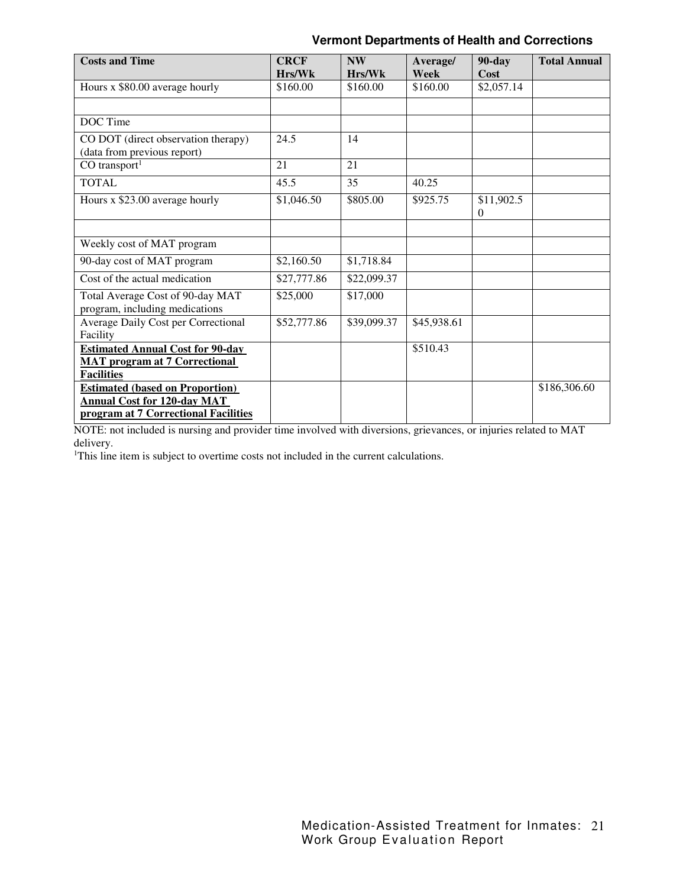| <b>Costs and Time</b>                   | <b>CRCF</b> | <b>NW</b>   | Average/    | <b>90-day</b> | <b>Total Annual</b> |
|-----------------------------------------|-------------|-------------|-------------|---------------|---------------------|
|                                         | Hrs/Wk      | Hr s/Wk     | Week        | Cost          |                     |
| Hours x \$80.00 average hourly          | \$160.00    | \$160.00    | \$160.00    | \$2,057.14    |                     |
|                                         |             |             |             |               |                     |
| DOC Time                                |             |             |             |               |                     |
| CO DOT (direct observation therapy)     | 24.5        | 14          |             |               |                     |
| (data from previous report)             |             |             |             |               |                     |
| $CO$ transport <sup>1</sup>             | 21          | 21          |             |               |                     |
| <b>TOTAL</b>                            | 45.5        | 35          | 40.25       |               |                     |
| Hours x \$23.00 average hourly          | \$1,046.50  | \$805.00    | \$925.75    | \$11,902.5    |                     |
|                                         |             |             |             | $\Omega$      |                     |
|                                         |             |             |             |               |                     |
| Weekly cost of MAT program              |             |             |             |               |                     |
| 90-day cost of MAT program              | \$2,160.50  | \$1,718.84  |             |               |                     |
| Cost of the actual medication           | \$27,777.86 | \$22,099.37 |             |               |                     |
| Total Average Cost of 90-day MAT        | \$25,000    | \$17,000    |             |               |                     |
| program, including medications          |             |             |             |               |                     |
| Average Daily Cost per Correctional     | \$52,777.86 | \$39,099.37 | \$45,938.61 |               |                     |
| Facility                                |             |             |             |               |                     |
| <b>Estimated Annual Cost for 90-day</b> |             |             | \$510.43    |               |                     |
| <b>MAT</b> program at 7 Correctional    |             |             |             |               |                     |
| <b>Facilities</b>                       |             |             |             |               |                     |
| <b>Estimated (based on Proportion)</b>  |             |             |             |               | \$186,306.60        |
| <b>Annual Cost for 120-day MAT</b>      |             |             |             |               |                     |
| program at 7 Correctional Facilities    |             |             |             |               |                     |

NOTE: not included is nursing and provider time involved with diversions, grievances, or injuries related to MAT delivery.

<sup>1</sup>This line item is subject to overtime costs not included in the current calculations.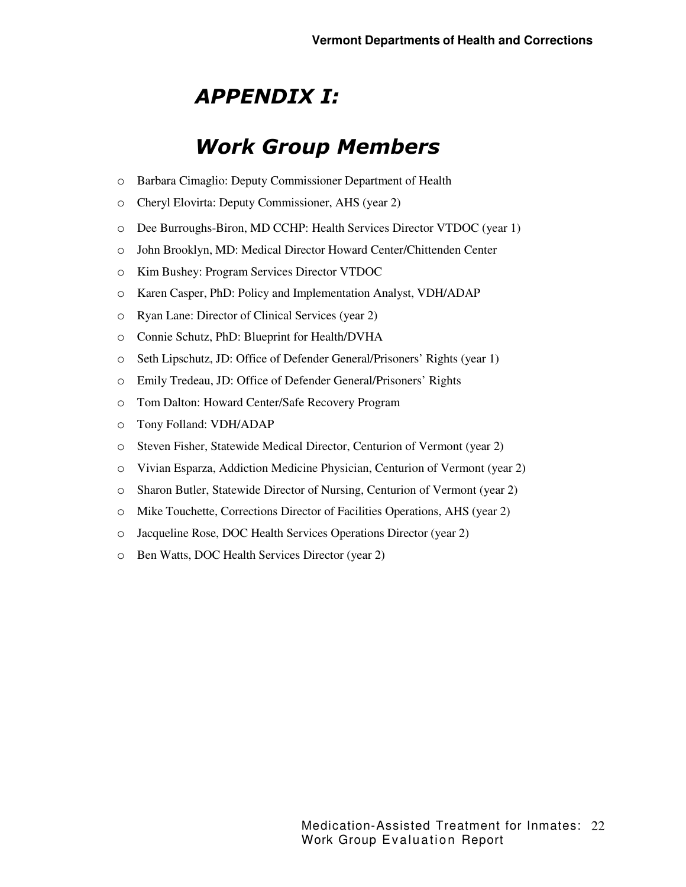# *APPENDIX I:*

# *Work Group Members*

- o Barbara Cimaglio: Deputy Commissioner Department of Health
- o Cheryl Elovirta: Deputy Commissioner, AHS (year 2)
- o Dee Burroughs-Biron, MD CCHP: Health Services Director VTDOC (year 1)
- o John Brooklyn, MD: Medical Director Howard Center/Chittenden Center
- o Kim Bushey: Program Services Director VTDOC
- o Karen Casper, PhD: Policy and Implementation Analyst, VDH/ADAP
- o Ryan Lane: Director of Clinical Services (year 2)
- o Connie Schutz, PhD: Blueprint for Health/DVHA
- o Seth Lipschutz, JD: Office of Defender General/Prisoners' Rights (year 1)
- o Emily Tredeau, JD: Office of Defender General/Prisoners' Rights
- o Tom Dalton: Howard Center/Safe Recovery Program
- o Tony Folland: VDH/ADAP
- o Steven Fisher, Statewide Medical Director, Centurion of Vermont (year 2)
- o Vivian Esparza, Addiction Medicine Physician, Centurion of Vermont (year 2)
- o Sharon Butler, Statewide Director of Nursing, Centurion of Vermont (year 2)
- o Mike Touchette, Corrections Director of Facilities Operations, AHS (year 2)
- o Jacqueline Rose, DOC Health Services Operations Director (year 2)
- o Ben Watts, DOC Health Services Director (year 2)